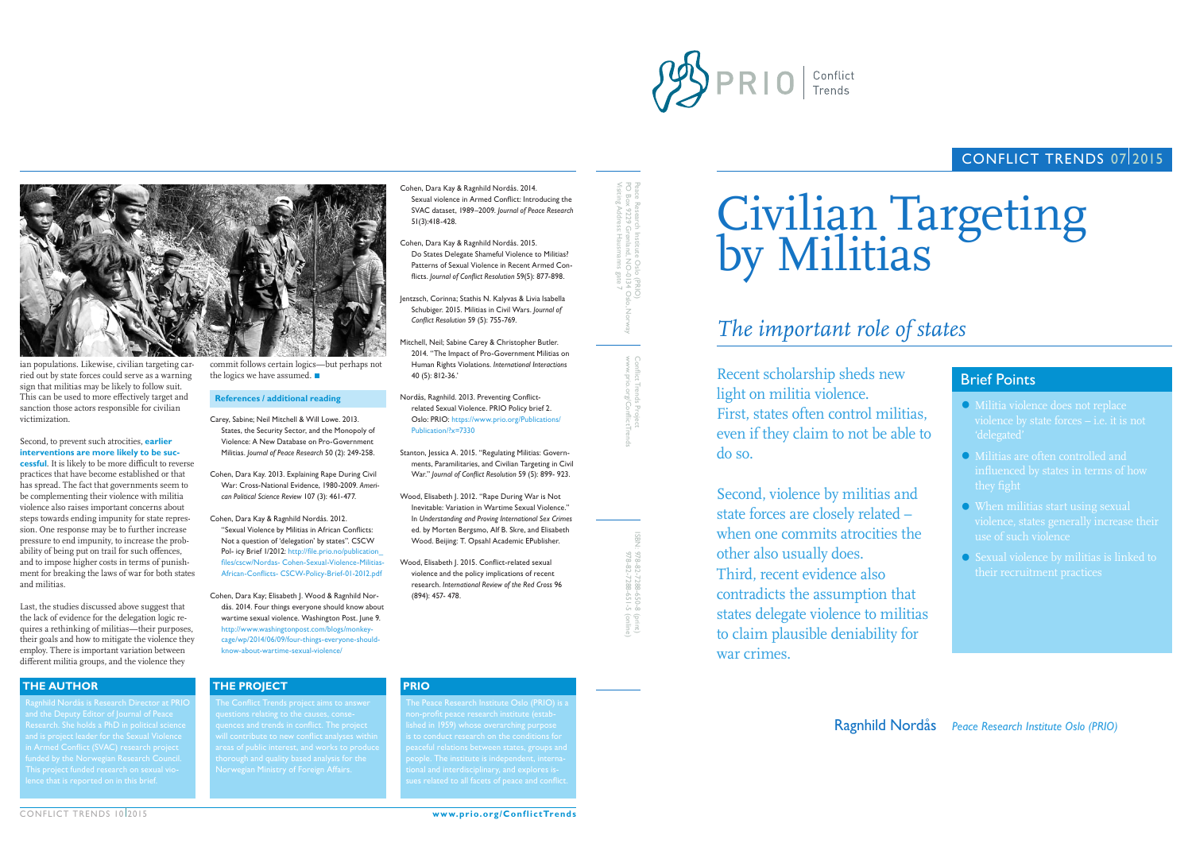



ian populations. Likewise, civilian targeting carried out by state forces could serve as a warning sign that militias may be likely to follow suit. This can be used to more effectively target and sanction those actors responsible for civilian victimization.

Second, to prevent such atrocities, **earlier interventions are more likely to be successful**. It is likely to be more difficult to reverse practices that have become established or that has spread. The fact that governments seem to be complementing their violence with militia violence also raises important concerns about steps towards ending impunity for state repression. One response may be to further increase pressure to end impunity, to increase the probability of being put on trail for such offences, and to impose higher costs in terms of punishment for breaking the laws of war for both states and militias.

Second, violence by militias a state forces are closely related – when one commits atrocities other also usually does. Third, recent evidence also contradicts the assumption that states delegate violence to mil to claim plausible deniability war crimes.

CONFLICT TRENDS 10 2015

Last, the studies discussed above suggest that the lack of evidence for the delegation logic requires a rethinking of militias—their purposes, their goals and how to mitigate the violence they employ. There is important variation between different militia groups, and the violence they

Recent scholarship sheds new light on militia violence. First, states often control militias, even if they claim to not be a do so.

# Civilian Targeting by Militias

# *The important role of states*

commit follows certain logics—but perhaps not the logics we have assumed.

Research. She holds a PhD in political science in Armed Conflict (SVAC) research project This project funded research on sexual vio-

## **THE AUTHOR THE PROJECT PRIO**







**www.prio.org/ConflictTrends**

# CONFLICT TRENDS 07/2015

## Ragnhild Nordås *Peace Research Institute Oslo (PRIO)*

quences and trends in conflict. The project Norwegian Ministry of Foreign Affairs.

lished in 1959) whose overarching purpose

peaceful relations between states, groups and people. The institute is independent, interna-

| Ā7                   | <b>Brief Points</b>                                                                                                                                                                                                                                                               |
|----------------------|-----------------------------------------------------------------------------------------------------------------------------------------------------------------------------------------------------------------------------------------------------------------------------------|
| itias,<br>ble to     | • Militia violence does not replace<br>violence by state forces $-$ i.e. it is not<br>'delegated'                                                                                                                                                                                 |
| ınd<br>the           | • Militias are often controlled and<br>influenced by states in terms of how<br>they fight<br>• When militias start using sexual<br>violence, states generally increase their<br>use of such violence<br>• Sexual violence by militias is linked to<br>their recruitment practices |
| hat<br>litias<br>for |                                                                                                                                                                                                                                                                                   |

#### **References / additional reading**

Carey, Sabine; Neil Mitchell & Will Lowe. 2013. States, the Security Sector, and the Monopoly of Violence: A New Database on Pro-Government Militias. *Journal of Peace Research* 50 (2): 249-258.

Cohen, Dara Kay. 2013. Explaining Rape During Civil War: Cross-National Evidence, 1980-2009. *American Political Science Review* 107 (3): 461-477.

Cohen, Dara Kay & Ragnhild Nordås. 2012. "Sexual Violence by Militias in African Conflicts: Not a question of 'delegation' by states". CSCW Pol- icy Brief 1/2012: [http://file.prio.no/publication\\_](http://file.prio.no/publication_files/cscw/Nordas- Cohen-Sexual-Violence-Militias-African-Conflicts- CSCW-Policy-Brief-01-2012.pdf 
) [files/cscw/Nordas- Cohen-Sexual-Violence-Militias-](http://file.prio.no/publication_files/cscw/Nordas- Cohen-Sexual-Violence-Militias-African-Conflicts- CSCW-Policy-Brief-01-2012.pdf 
)[African-Conflicts- CSCW-Policy-Brief-01-2012.pdf](http://file.prio.no/publication_files/cscw/Nordas- Cohen-Sexual-Violence-Militias-African-Conflicts- CSCW-Policy-Brief-01-2012.pdf 
) 

Cohen, Dara Kay; Elisabeth J. Wood & Ragnhild Nordås. 2014. Four things everyone should know about wartime sexual violence. Washington Post. June 9. [http://www.washingtonpost.com/blogs/monkey](http://www.washingtonpost.com/blogs/monkey- 
cage/wp/2014/06/09/four-things-everyone-should- know-about-wartime-sexual-violence/)[cage/wp/2014/06/09/four-things-everyone-should](http://www.washingtonpost.com/blogs/monkey- 
cage/wp/2014/06/09/four-things-everyone-should- know-about-wartime-sexual-violence/)[know-about-wartime-sexual-violence/](http://www.washingtonpost.com/blogs/monkey- 
cage/wp/2014/06/09/four-things-everyone-should- know-about-wartime-sexual-violence/)

Cohen, Dara Kay & Ragnhild Nordås. 2014. Sexual violence in Armed Conflict: Introducing the SVAC dataset, 1989–2009. *Journal of Peace Research* 51(3):418-428.

- Cohen, Dara Kay & Ragnhild Nordås. 2015. Do States Delegate Shameful Violence to Militias? Patterns of Sexual Violence in Recent Armed Conflicts. *Journal of Conflict Resolution* 59(5): 877-898.
- Jentzsch, Corinna; Stathis N. Kalyvas & Livia Isabella Schubiger. 2015. Militias in Civil Wars. *Journal of Conflict Resolution* 59 (5): 755-769.
- Mitchell, Neil; Sabine Carey & Christopher Butler. 2014. ''The Impact of Pro-Government Militias on Human Rights Violations. *International Interactions* 40 (5): 812-36.'
- Nordås, Ragnhild. 2013. Preventing Conflictrelated Sexual Violence. PRIO Policy brief 2. Oslo: PRIO: [https://www.prio.org/Publications/](https://www.prio.org/Publications/Publication/?x=7330) [Publication/?x=7330](https://www.prio.org/Publications/Publication/?x=7330)
- Stanton, Jessica A. 2015. "Regulating Militias: Governments, Paramilitaries, and Civilian Targeting in Civil War." *Journal of Conflict Resolution* 59 (5): 899- 923.
- Wood, Elisabeth J. 2012. "Rape During War is Not Inevitable: Variation in Wartime Sexual Violence." In *Understanding and Proving International Sex Crimes* ed. by Morten Bergsmo, Alf B. Skre, and Elisabeth Wood. Beijing: T. Opsahl Academic EPublisher.
- Wood, Elisabeth J. 2015. Conflict-related sexual violence and the policy implications of recent research. *International Review of the Red Cross* 96 (894): 457- 478.